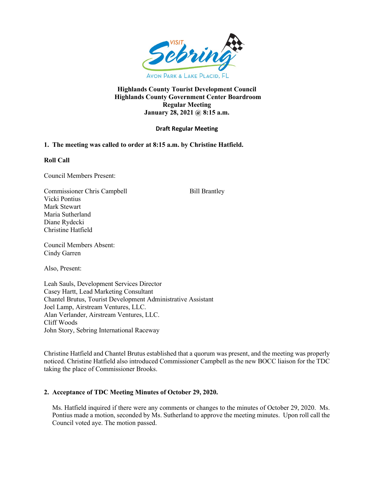

## **Highlands County Tourist Development Council Highlands County Government Center Boardroom Regular Meeting January 28, 2021 @ 8:15 a.m.**

## **Draft Regular Meeting**

## **1. The meeting was called to order at 8:15 a.m. by Christine Hatfield.**

## **Roll Call**

Council Members Present:

Commissioner Chris Campbell Bill Brantley Vicki Pontius Mark Stewart Maria Sutherland Diane Rydecki Christine Hatfield

Council Members Absent: Cindy Garren

Also, Present:

Leah Sauls, Development Services Director Casey Hartt, Lead Marketing Consultant Chantel Brutus, Tourist Development Administrative Assistant Joel Lamp, Airstream Ventures, LLC. Alan Verlander, Airstream Ventures, LLC. Cliff Woods John Story, Sebring International Raceway

Christine Hatfield and Chantel Brutus established that a quorum was present, and the meeting was properly noticed. Christine Hatfield also introduced Commissioner Campbell as the new BOCC liaison for the TDC taking the place of Commissioner Brooks.

# **2. Acceptance of TDC Meeting Minutes of October 29, 2020.**

Ms. Hatfield inquired if there were any comments or changes to the minutes of October 29, 2020. Ms. Pontius made a motion, seconded by Ms. Sutherland to approve the meeting minutes. Upon roll call the Council voted aye. The motion passed.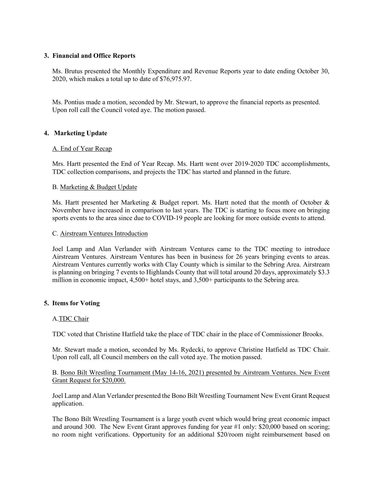## **3. Financial and Office Reports**

Ms. Brutus presented the Monthly Expenditure and Revenue Reports year to date ending October 30, 2020, which makes a total up to date of \$76,975.97.

Ms. Pontius made a motion, seconded by Mr. Stewart, to approve the financial reports as presented. Upon roll call the Council voted aye. The motion passed.

## **4. Marketing Update**

### A. End of Year Recap

Mrs. Hartt presented the End of Year Recap. Ms. Hartt went over 2019-2020 TDC accomplishments, TDC collection comparisons, and projects the TDC has started and planned in the future.

### B. Marketing & Budget Update

Ms. Hartt presented her Marketing & Budget report. Ms. Hartt noted that the month of October & November have increased in comparison to last years. The TDC is starting to focus more on bringing sports events to the area since due to COVID-19 people are looking for more outside events to attend.

### C. Airstream Ventures Introduction

Joel Lamp and Alan Verlander with Airstream Ventures came to the TDC meeting to introduce Airstream Ventures. Airstream Ventures has been in business for 26 years bringing events to areas. Airstream Ventures currently works with Clay County which is similar to the Sebring Area. Airstream is planning on bringing 7 events to Highlands County that will total around 20 days, approximately \$3.3 million in economic impact, 4,500+ hotel stays, and 3,500+ participants to the Sebring area.

## **5. Items for Voting**

#### A.TDC Chair

TDC voted that Christine Hatfield take the place of TDC chair in the place of Commissioner Brooks.

Mr. Stewart made a motion, seconded by Ms. Rydecki, to approve Christine Hatfield as TDC Chair. Upon roll call, all Council members on the call voted aye. The motion passed.

## B. Bono Bilt Wrestling Tournament (May 14-16, 2021) presented by Airstream Ventures. New Event Grant Request for \$20,000.

Joel Lamp and Alan Verlander presented the Bono Bilt Wrestling Tournament New Event Grant Request application.

The Bono Bilt Wrestling Tournament is a large youth event which would bring great economic impact and around 300. The New Event Grant approves funding for year #1 only: \$20,000 based on scoring; no room night verifications. Opportunity for an additional \$20/room night reimbursement based on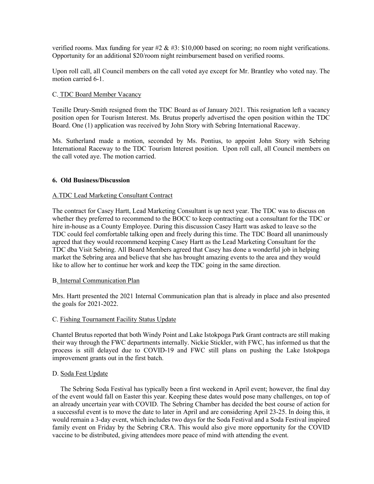verified rooms. Max funding for year #2  $\&$  #3: \$10,000 based on scoring; no room night verifications. Opportunity for an additional \$20/room night reimbursement based on verified rooms.

Upon roll call, all Council members on the call voted aye except for Mr. Brantley who voted nay. The motion carried 6-1.

#### C. TDC Board Member Vacancy

Tenille Drury-Smith resigned from the TDC Board as of January 2021. This resignation left a vacancy position open for Tourism Interest. Ms. Brutus properly advertised the open position within the TDC Board. One (1) application was received by John Story with Sebring International Raceway.

Ms. Sutherland made a motion, seconded by Ms. Pontius, to appoint John Story with Sebring International Raceway to the TDC Tourism Interest position. Upon roll call, all Council members on the call voted aye. The motion carried.

### **6. Old Business/Discussion**

### A.TDC Lead Marketing Consultant Contract

 The contract for Casey Hartt, Lead Marketing Consultant is up next year. The TDC was to discuss on whether they preferred to recommend to the BOCC to keep contracting out a consultant for the TDC or hire in-house as a County Employee. During this discussion Casey Hartt was asked to leave so the TDC could feel comfortable talking open and freely during this time. The TDC Board all unanimously agreed that they would recommend keeping Casey Hartt as the Lead Marketing Consultant for the TDC dba Visit Sebring. All Board Members agreed that Casey has done a wonderful job in helping market the Sebring area and believe that she has brought amazing events to the area and they would like to allow her to continue her work and keep the TDC going in the same direction.

#### B. Internal Communication Plan

Mrs. Hartt presented the 2021 Internal Communication plan that is already in place and also presented the goals for 2021-2022.

#### C. Fishing Tournament Facility Status Update

Chantel Brutus reported that both Windy Point and Lake Istokpoga Park Grant contracts are still making their way through the FWC departments internally. Nickie Stickler, with FWC, has informed us that the process is still delayed due to COVID-19 and FWC still plans on pushing the Lake Istokpoga improvement grants out in the first batch.

#### D. Soda Fest Update

The Sebring Soda Festival has typically been a first weekend in April event; however, the final day of the event would fall on Easter this year. Keeping these dates would pose many challenges, on top of an already uncertain year with COVID. The Sebring Chamber has decided the best course of action for a successful event is to move the date to later in April and are considering April 23-25. In doing this, it would remain a 3-day event, which includes two days for the Soda Festival and a Soda Festival inspired family event on Friday by the Sebring CRA. This would also give more opportunity for the COVID vaccine to be distributed, giving attendees more peace of mind with attending the event.